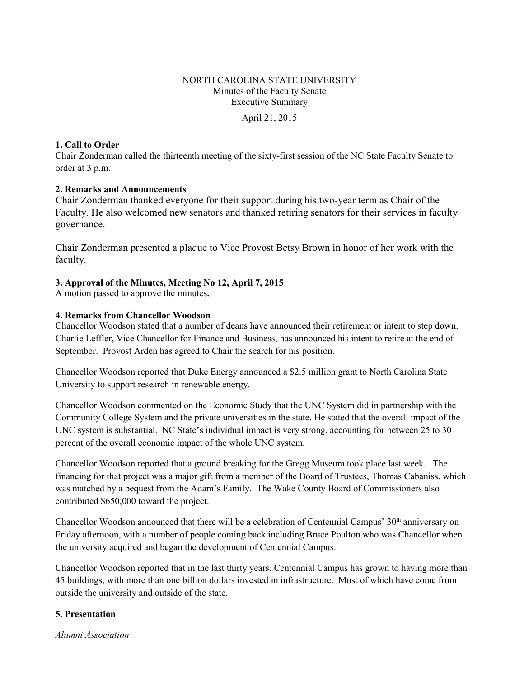# NORTH CAROLINA STATE UNIVERSITY Minutes of the Faculty Senate Executive Summary

April 21, 2015

#### **1. Call to Order**

Chair Zonderman called the thirteenth meeting of the sixty-first session of the NC State Faculty Senate to order at 3 p.m.

### **2. Remarks and Announcements**

Chair Zonderman thanked everyone for their support during his two-year term as Chair of the Faculty. He also welcomed new senators and thanked retiring senators for their services in faculty governance.

Chair Zonderman presented a plaque to Vice Provost Betsy Brown in honor of her work with the faculty.

### **3. Approval of the Minutes, Meeting No 12, April 7, 2015**

A motion passed to approve the minutes**.** 

### **4. Remarks from Chancellor Woodson**

Chancellor Woodson stated that a number of deans have announced their retirement or intent to step down. Charlie Leffler, Vice Chancellor for Finance and Business, has announced his intent to retire at the end of September. Provost Arden has agreed to Chair the search for his position.

Chancellor Woodson reported that Duke Energy announced a \$2.5 million grant to North Carolina State University to support research in renewable energy.

Chancellor Woodson commented on the Economic Study that the UNC System did in partnership with the Community College System and the private universities in the state. He stated that the overall impact of the UNC system is substantial. NC State's individual impact is very strong, accounting for between 25 to 30 percent of the overall economic impact of the whole UNC system.

Chancellor Woodson reported that a ground breaking for the Gregg Museum took place last week. The financing for that project was a major gift from a member of the Board of Trustees, Thomas Cabaniss, which was matched by a bequest from the Adam's Family. The Wake County Board of Commissioners also contributed \$650,000 toward the project.

Chancellor Woodson announced that there will be a celebration of Centennial Campus' 30<sup>th</sup> anniversary on Friday afternoon, with a number of people coming back including Bruce Poulton who was Chancellor when the university acquired and began the development of Centennial Campus.

Chancellor Woodson reported that in the last thirty years, Centennial Campus has grown to having more than 45 buildings, with more than one billion dollars invested in infrastructure. Most of which have come from outside the university and outside of the state.

### **5. Presentation**

*Alumni Association*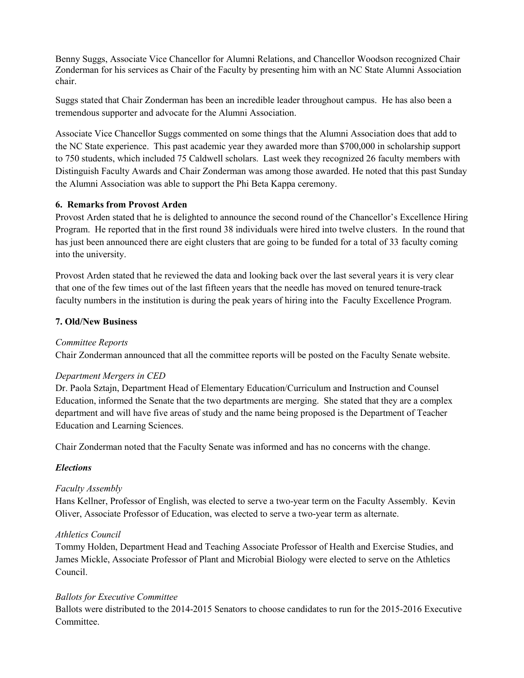Benny Suggs, Associate Vice Chancellor for Alumni Relations, and Chancellor Woodson recognized Chair Zonderman for his services as Chair of the Faculty by presenting him with an NC State Alumni Association chair.

Suggs stated that Chair Zonderman has been an incredible leader throughout campus. He has also been a tremendous supporter and advocate for the Alumni Association.

Associate Vice Chancellor Suggs commented on some things that the Alumni Association does that add to the NC State experience. This past academic year they awarded more than \$700,000 in scholarship support to 750 students, which included 75 Caldwell scholars. Last week they recognized 26 faculty members with Distinguish Faculty Awards and Chair Zonderman was among those awarded. He noted that this past Sunday the Alumni Association was able to support the Phi Beta Kappa ceremony.

#### **6. Remarks from Provost Arden**

Provost Arden stated that he is delighted to announce the second round of the Chancellor's Excellence Hiring Program. He reported that in the first round 38 individuals were hired into twelve clusters. In the round that has just been announced there are eight clusters that are going to be funded for a total of 33 faculty coming into the university.

Provost Arden stated that he reviewed the data and looking back over the last several years it is very clear that one of the few times out of the last fifteen years that the needle has moved on tenured tenure-track faculty numbers in the institution is during the peak years of hiring into the Faculty Excellence Program.

#### **7. Old/New Business**

#### *Committee Reports*

Chair Zonderman announced that all the committee reports will be posted on the Faculty Senate website.

#### *Department Mergers in CED*

Dr. Paola Sztajn, Department Head of Elementary Education/Curriculum and Instruction and Counsel Education, informed the Senate that the two departments are merging. She stated that they are a complex department and will have five areas of study and the name being proposed is the Department of Teacher Education and Learning Sciences.

Chair Zonderman noted that the Faculty Senate was informed and has no concerns with the change.

### *Elections*

### *Faculty Assembly*

Hans Kellner, Professor of English, was elected to serve a two-year term on the Faculty Assembly. Kevin Oliver, Associate Professor of Education, was elected to serve a two-year term as alternate.

#### *Athletics Council*

Tommy Holden, Department Head and Teaching Associate Professor of Health and Exercise Studies, and James Mickle, Associate Professor of Plant and Microbial Biology were elected to serve on the Athletics Council.

#### *Ballots for Executive Committee*

Ballots were distributed to the 2014-2015 Senators to choose candidates to run for the 2015-2016 Executive Committee.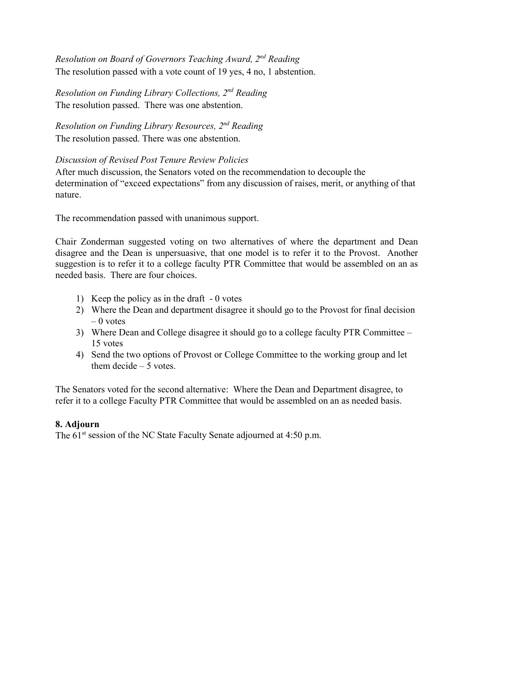*Resolution on Board of Governors Teaching Award, 2nd Reading*  The resolution passed with a vote count of 19 yes, 4 no, 1 abstention.

*Resolution on Funding Library Collections, 2nd Reading*  The resolution passed. There was one abstention.

*Resolution on Funding Library Resources, 2nd Reading*  The resolution passed. There was one abstention.

### *Discussion of Revised Post Tenure Review Policies*

After much discussion, the Senators voted on the recommendation to decouple the determination of "exceed expectations" from any discussion of raises, merit, or anything of that nature.

The recommendation passed with unanimous support.

Chair Zonderman suggested voting on two alternatives of where the department and Dean disagree and the Dean is unpersuasive, that one model is to refer it to the Provost. Another suggestion is to refer it to a college faculty PTR Committee that would be assembled on an as needed basis. There are four choices.

- 1) Keep the policy as in the draft 0 votes
- 2) Where the Dean and department disagree it should go to the Provost for final decision  $-0$  votes
- 3) Where Dean and College disagree it should go to a college faculty PTR Committee 15 votes
- 4) Send the two options of Provost or College Committee to the working group and let them decide  $-5$  votes.

The Senators voted for the second alternative: Where the Dean and Department disagree, to refer it to a college Faculty PTR Committee that would be assembled on an as needed basis.

### **8. Adjourn**

The 61<sup>st</sup> session of the NC State Faculty Senate adjourned at 4:50 p.m.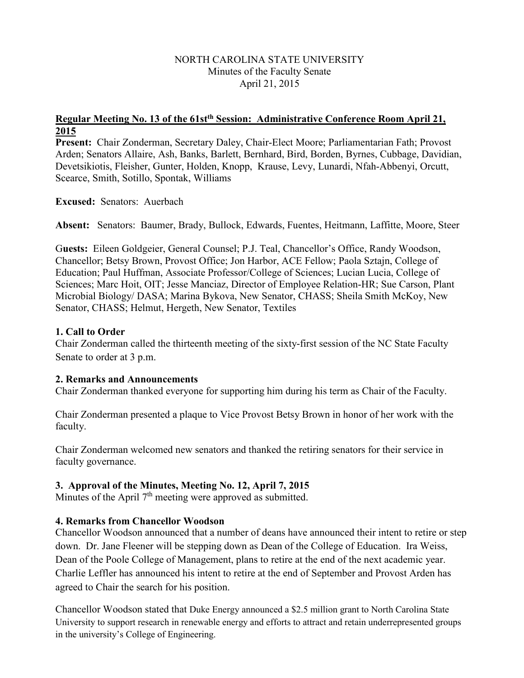## NORTH CAROLINA STATE UNIVERSITY Minutes of the Faculty Senate April 21, 2015

## **Regular Meeting No. 13 of the 61stth Session: Administrative Conference Room April 21, 2015**

**Present:** Chair Zonderman, Secretary Daley, Chair-Elect Moore; Parliamentarian Fath; Provost Arden; Senators Allaire, Ash, Banks, Barlett, Bernhard, Bird, Borden, Byrnes, Cubbage, Davidian, Devetsikiotis, Fleisher, Gunter, Holden, Knopp, Krause, Levy, Lunardi, Nfah-Abbenyi, Orcutt, Scearce, Smith, Sotillo, Spontak, Williams

**Excused:** Senators: Auerbach

**Absent:** Senators: Baumer, Brady, Bullock, Edwards, Fuentes, Heitmann, Laffitte, Moore, Steer

G**uests:** Eileen Goldgeier, General Counsel; P.J. Teal, Chancellor's Office, Randy Woodson, Chancellor; Betsy Brown, Provost Office; Jon Harbor, ACE Fellow; Paola Sztajn, College of Education; Paul Huffman, Associate Professor/College of Sciences; Lucian Lucia, College of Sciences; Marc Hoit, OIT; Jesse Manciaz, Director of Employee Relation-HR; Sue Carson, Plant Microbial Biology/ DASA; Marina Bykova, New Senator, CHASS; Sheila Smith McKoy, New Senator, CHASS; Helmut, Hergeth, New Senator, Textiles

# **1. Call to Order**

Chair Zonderman called the thirteenth meeting of the sixty-first session of the NC State Faculty Senate to order at 3 p.m.

## **2. Remarks and Announcements**

Chair Zonderman thanked everyone for supporting him during his term as Chair of the Faculty.

Chair Zonderman presented a plaque to Vice Provost Betsy Brown in honor of her work with the faculty.

Chair Zonderman welcomed new senators and thanked the retiring senators for their service in faculty governance.

# **3. Approval of the Minutes, Meeting No. 12, April 7, 2015**

Minutes of the April 7<sup>th</sup> meeting were approved as submitted.

# **4. Remarks from Chancellor Woodson**

Chancellor Woodson announced that a number of deans have announced their intent to retire or step down. Dr. Jane Fleener will be stepping down as Dean of the College of Education. Ira Weiss, Dean of the Poole College of Management, plans to retire at the end of the next academic year. Charlie Leffler has announced his intent to retire at the end of September and Provost Arden has agreed to Chair the search for his position.

Chancellor Woodson stated that Duke Energy announced a \$2.5 million grant to North Carolina State University to support research in renewable energy and efforts to attract and retain underrepresented groups in the university's College of Engineering.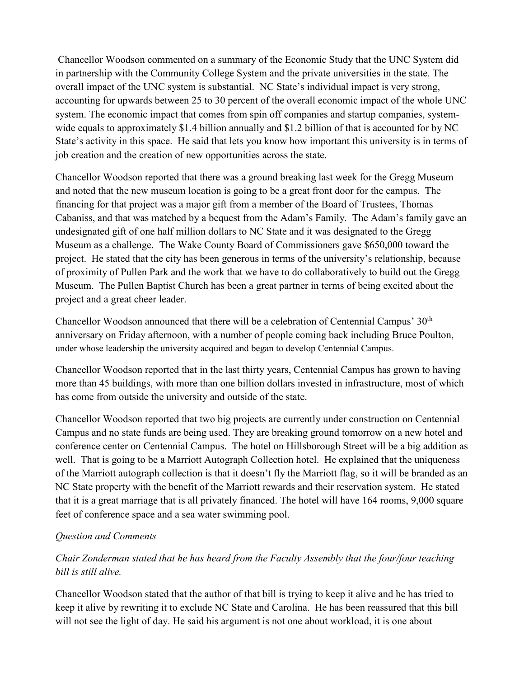Chancellor Woodson commented on a summary of the Economic Study that the UNC System did in partnership with the Community College System and the private universities in the state. The overall impact of the UNC system is substantial. NC State's individual impact is very strong, accounting for upwards between 25 to 30 percent of the overall economic impact of the whole UNC system. The economic impact that comes from spin off companies and startup companies, systemwide equals to approximately \$1.4 billion annually and \$1.2 billion of that is accounted for by NC State's activity in this space. He said that lets you know how important this university is in terms of job creation and the creation of new opportunities across the state.

Chancellor Woodson reported that there was a ground breaking last week for the Gregg Museum and noted that the new museum location is going to be a great front door for the campus. The financing for that project was a major gift from a member of the Board of Trustees, Thomas Cabaniss, and that was matched by a bequest from the Adam's Family. The Adam's family gave an undesignated gift of one half million dollars to NC State and it was designated to the Gregg Museum as a challenge. The Wake County Board of Commissioners gave \$650,000 toward the project. He stated that the city has been generous in terms of the university's relationship, because of proximity of Pullen Park and the work that we have to do collaboratively to build out the Gregg Museum. The Pullen Baptist Church has been a great partner in terms of being excited about the project and a great cheer leader.

Chancellor Woodson announced that there will be a celebration of Centennial Campus' 30<sup>th</sup> anniversary on Friday afternoon, with a number of people coming back including Bruce Poulton, under whose leadership the university acquired and began to develop Centennial Campus.

Chancellor Woodson reported that in the last thirty years, Centennial Campus has grown to having more than 45 buildings, with more than one billion dollars invested in infrastructure, most of which has come from outside the university and outside of the state.

Chancellor Woodson reported that two big projects are currently under construction on Centennial Campus and no state funds are being used. They are breaking ground tomorrow on a new hotel and conference center on Centennial Campus. The hotel on Hillsborough Street will be a big addition as well. That is going to be a Marriott Autograph Collection hotel. He explained that the uniqueness of the Marriott autograph collection is that it doesn't fly the Marriott flag, so it will be branded as an NC State property with the benefit of the Marriott rewards and their reservation system. He stated that it is a great marriage that is all privately financed. The hotel will have 164 rooms, 9,000 square feet of conference space and a sea water swimming pool.

## *Question and Comments*

*Chair Zonderman stated that he has heard from the Faculty Assembly that the four/four teaching bill is still alive.* 

Chancellor Woodson stated that the author of that bill is trying to keep it alive and he has tried to keep it alive by rewriting it to exclude NC State and Carolina. He has been reassured that this bill will not see the light of day. He said his argument is not one about workload, it is one about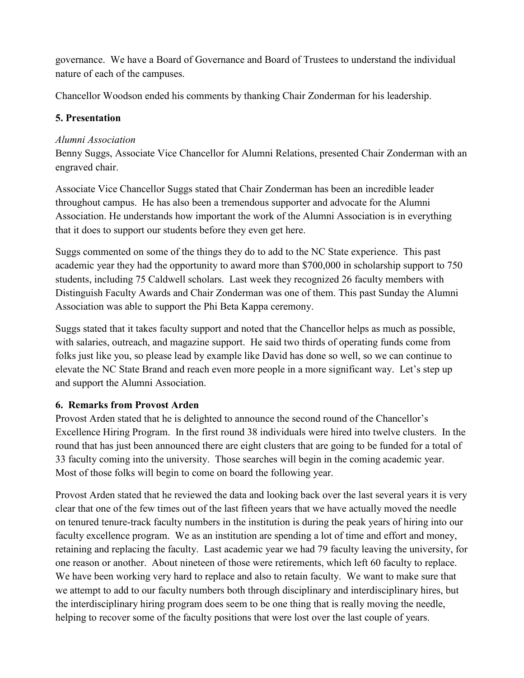governance. We have a Board of Governance and Board of Trustees to understand the individual nature of each of the campuses.

Chancellor Woodson ended his comments by thanking Chair Zonderman for his leadership.

# **5. Presentation**

## *Alumni Association*

Benny Suggs, Associate Vice Chancellor for Alumni Relations, presented Chair Zonderman with an engraved chair.

Associate Vice Chancellor Suggs stated that Chair Zonderman has been an incredible leader throughout campus. He has also been a tremendous supporter and advocate for the Alumni Association. He understands how important the work of the Alumni Association is in everything that it does to support our students before they even get here.

Suggs commented on some of the things they do to add to the NC State experience. This past academic year they had the opportunity to award more than \$700,000 in scholarship support to 750 students, including 75 Caldwell scholars. Last week they recognized 26 faculty members with Distinguish Faculty Awards and Chair Zonderman was one of them. This past Sunday the Alumni Association was able to support the Phi Beta Kappa ceremony.

Suggs stated that it takes faculty support and noted that the Chancellor helps as much as possible, with salaries, outreach, and magazine support. He said two thirds of operating funds come from folks just like you, so please lead by example like David has done so well, so we can continue to elevate the NC State Brand and reach even more people in a more significant way. Let's step up and support the Alumni Association.

## **6. Remarks from Provost Arden**

Provost Arden stated that he is delighted to announce the second round of the Chancellor's Excellence Hiring Program. In the first round 38 individuals were hired into twelve clusters. In the round that has just been announced there are eight clusters that are going to be funded for a total of 33 faculty coming into the university. Those searches will begin in the coming academic year. Most of those folks will begin to come on board the following year.

Provost Arden stated that he reviewed the data and looking back over the last several years it is very clear that one of the few times out of the last fifteen years that we have actually moved the needle on tenured tenure-track faculty numbers in the institution is during the peak years of hiring into our faculty excellence program. We as an institution are spending a lot of time and effort and money, retaining and replacing the faculty. Last academic year we had 79 faculty leaving the university, for one reason or another. About nineteen of those were retirements, which left 60 faculty to replace. We have been working very hard to replace and also to retain faculty. We want to make sure that we attempt to add to our faculty numbers both through disciplinary and interdisciplinary hires, but the interdisciplinary hiring program does seem to be one thing that is really moving the needle, helping to recover some of the faculty positions that were lost over the last couple of years.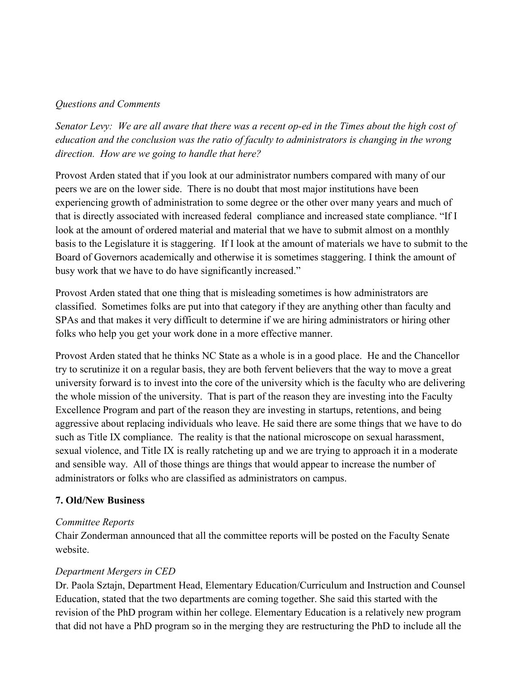### *Questions and Comments*

*Senator Levy: We are all aware that there was a recent op-ed in the Times about the high cost of education and the conclusion was the ratio of faculty to administrators is changing in the wrong direction. How are we going to handle that here?*

Provost Arden stated that if you look at our administrator numbers compared with many of our peers we are on the lower side. There is no doubt that most major institutions have been experiencing growth of administration to some degree or the other over many years and much of that is directly associated with increased federal compliance and increased state compliance. "If I look at the amount of ordered material and material that we have to submit almost on a monthly basis to the Legislature it is staggering. If I look at the amount of materials we have to submit to the Board of Governors academically and otherwise it is sometimes staggering. I think the amount of busy work that we have to do have significantly increased."

Provost Arden stated that one thing that is misleading sometimes is how administrators are classified. Sometimes folks are put into that category if they are anything other than faculty and SPAs and that makes it very difficult to determine if we are hiring administrators or hiring other folks who help you get your work done in a more effective manner.

Provost Arden stated that he thinks NC State as a whole is in a good place. He and the Chancellor try to scrutinize it on a regular basis, they are both fervent believers that the way to move a great university forward is to invest into the core of the university which is the faculty who are delivering the whole mission of the university. That is part of the reason they are investing into the Faculty Excellence Program and part of the reason they are investing in startups, retentions, and being aggressive about replacing individuals who leave. He said there are some things that we have to do such as Title IX compliance. The reality is that the national microscope on sexual harassment, sexual violence, and Title IX is really ratcheting up and we are trying to approach it in a moderate and sensible way. All of those things are things that would appear to increase the number of administrators or folks who are classified as administrators on campus.

## **7. Old/New Business**

### *Committee Reports*

Chair Zonderman announced that all the committee reports will be posted on the Faculty Senate website.

## *Department Mergers in CED*

Dr. Paola Sztajn, Department Head, Elementary Education/Curriculum and Instruction and Counsel Education, stated that the two departments are coming together. She said this started with the revision of the PhD program within her college. Elementary Education is a relatively new program that did not have a PhD program so in the merging they are restructuring the PhD to include all the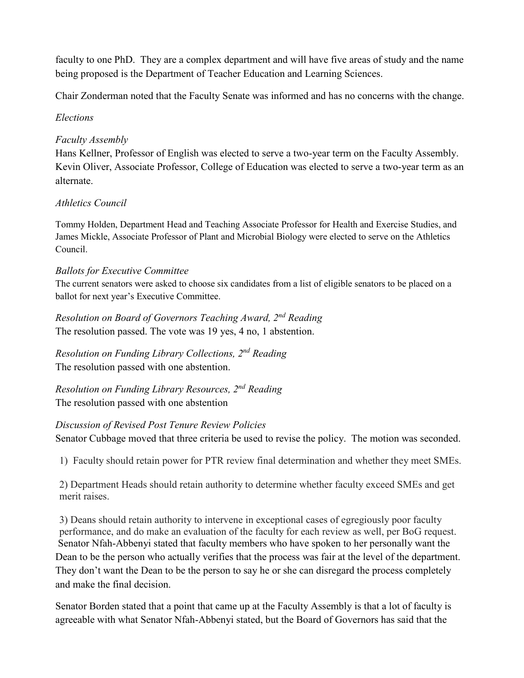faculty to one PhD. They are a complex department and will have five areas of study and the name being proposed is the Department of Teacher Education and Learning Sciences.

Chair Zonderman noted that the Faculty Senate was informed and has no concerns with the change.

# *Elections*

# *Faculty Assembly*

Hans Kellner, Professor of English was elected to serve a two-year term on the Faculty Assembly. Kevin Oliver, Associate Professor, College of Education was elected to serve a two-year term as an alternate.

# *Athletics Council*

Tommy Holden, Department Head and Teaching Associate Professor for Health and Exercise Studies, and James Mickle, Associate Professor of Plant and Microbial Biology were elected to serve on the Athletics Council.

# *Ballots for Executive Committee*

The current senators were asked to choose six candidates from a list of eligible senators to be placed on a ballot for next year's Executive Committee.

*Resolution on Board of Governors Teaching Award, 2nd Reading*  The resolution passed. The vote was 19 yes, 4 no, 1 abstention.

*Resolution on Funding Library Collections, 2nd Reading*  The resolution passed with one abstention.

*Resolution on Funding Library Resources, 2nd Reading*  The resolution passed with one abstention

## *Discussion of Revised Post Tenure Review Policies*

Senator Cubbage moved that three criteria be used to revise the policy. The motion was seconded.

1) Faculty should retain power for PTR review final determination and whether they meet SMEs.

2) Department Heads should retain authority to determine whether faculty exceed SMEs and get merit raises.

3) Deans should retain authority to intervene in exceptional cases of egregiously poor faculty performance, and do make an evaluation of the faculty for each review as well, per BoG request. Senator Nfah-Abbenyi stated that faculty members who have spoken to her personally want the Dean to be the person who actually verifies that the process was fair at the level of the department. They don't want the Dean to be the person to say he or she can disregard the process completely and make the final decision.

Senator Borden stated that a point that came up at the Faculty Assembly is that a lot of faculty is agreeable with what Senator Nfah-Abbenyi stated, but the Board of Governors has said that the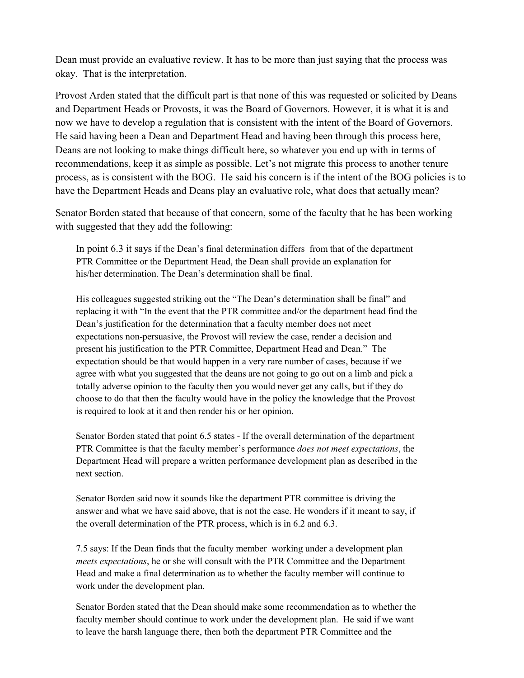Dean must provide an evaluative review. It has to be more than just saying that the process was okay. That is the interpretation.

Provost Arden stated that the difficult part is that none of this was requested or solicited by Deans and Department Heads or Provosts, it was the Board of Governors. However, it is what it is and now we have to develop a regulation that is consistent with the intent of the Board of Governors. He said having been a Dean and Department Head and having been through this process here, Deans are not looking to make things difficult here, so whatever you end up with in terms of recommendations, keep it as simple as possible. Let's not migrate this process to another tenure process, as is consistent with the BOG. He said his concern is if the intent of the BOG policies is to have the Department Heads and Deans play an evaluative role, what does that actually mean?

Senator Borden stated that because of that concern, some of the faculty that he has been working with suggested that they add the following:

In point 6.3 it says if the Dean's final determination differs from that of the department PTR Committee or the Department Head, the Dean shall provide an explanation for his/her determination. The Dean's determination shall be final.

His colleagues suggested striking out the "The Dean's determination shall be final" and replacing it with "In the event that the PTR committee and/or the department head find the Dean's justification for the determination that a faculty member does not meet expectations non-persuasive, the Provost will review the case, render a decision and present his justification to the PTR Committee, Department Head and Dean." The expectation should be that would happen in a very rare number of cases, because if we agree with what you suggested that the deans are not going to go out on a limb and pick a totally adverse opinion to the faculty then you would never get any calls, but if they do choose to do that then the faculty would have in the policy the knowledge that the Provost is required to look at it and then render his or her opinion.

Senator Borden stated that point 6.5 states - If the overall determination of the department PTR Committee is that the faculty member's performance *does not meet expectations*, the Department Head will prepare a written performance development plan as described in the next section.

Senator Borden said now it sounds like the department PTR committee is driving the answer and what we have said above, that is not the case. He wonders if it meant to say, if the overall determination of the PTR process, which is in 6.2 and 6.3.

7.5 says: If the Dean finds that the faculty member working under a development plan *meets expectations*, he or she will consult with the PTR Committee and the Department Head and make a final determination as to whether the faculty member will continue to work under the development plan.

Senator Borden stated that the Dean should make some recommendation as to whether the faculty member should continue to work under the development plan. He said if we want to leave the harsh language there, then both the department PTR Committee and the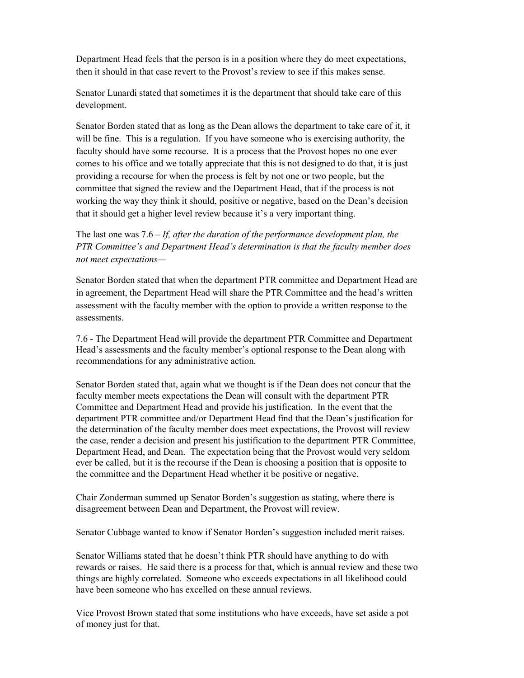Department Head feels that the person is in a position where they do meet expectations, then it should in that case revert to the Provost's review to see if this makes sense.

Senator Lunardi stated that sometimes it is the department that should take care of this development.

Senator Borden stated that as long as the Dean allows the department to take care of it, it will be fine. This is a regulation. If you have someone who is exercising authority, the faculty should have some recourse. It is a process that the Provost hopes no one ever comes to his office and we totally appreciate that this is not designed to do that, it is just providing a recourse for when the process is felt by not one or two people, but the committee that signed the review and the Department Head, that if the process is not working the way they think it should, positive or negative, based on the Dean's decision that it should get a higher level review because it's a very important thing.

The last one was 7.6 – *If, after the duration of the performance development plan, the PTR Committee's and Department Head's determination is that the faculty member does not meet expectations—*

Senator Borden stated that when the department PTR committee and Department Head are in agreement, the Department Head will share the PTR Committee and the head's written assessment with the faculty member with the option to provide a written response to the assessments.

7.6 - The Department Head will provide the department PTR Committee and Department Head's assessments and the faculty member's optional response to the Dean along with recommendations for any administrative action.

Senator Borden stated that, again what we thought is if the Dean does not concur that the faculty member meets expectations the Dean will consult with the department PTR Committee and Department Head and provide his justification. In the event that the department PTR committee and/or Department Head find that the Dean's justification for the determination of the faculty member does meet expectations, the Provost will review the case, render a decision and present his justification to the department PTR Committee, Department Head, and Dean. The expectation being that the Provost would very seldom ever be called, but it is the recourse if the Dean is choosing a position that is opposite to the committee and the Department Head whether it be positive or negative.

Chair Zonderman summed up Senator Borden's suggestion as stating, where there is disagreement between Dean and Department, the Provost will review.

Senator Cubbage wanted to know if Senator Borden's suggestion included merit raises.

Senator Williams stated that he doesn't think PTR should have anything to do with rewards or raises. He said there is a process for that, which is annual review and these two things are highly correlated. Someone who exceeds expectations in all likelihood could have been someone who has excelled on these annual reviews.

Vice Provost Brown stated that some institutions who have exceeds, have set aside a pot of money just for that.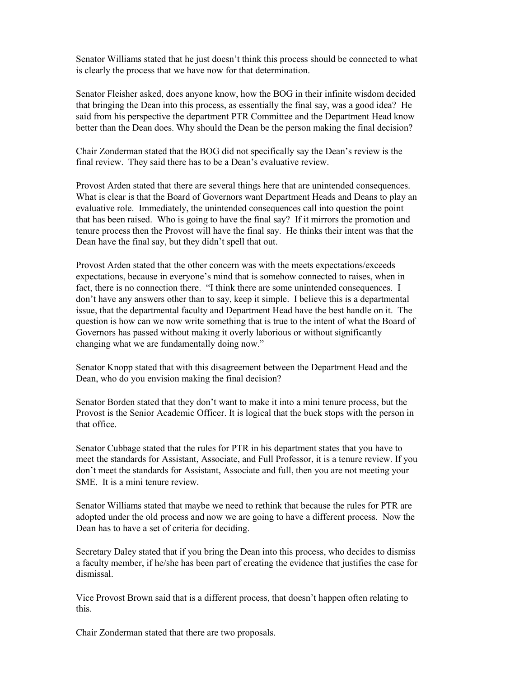Senator Williams stated that he just doesn't think this process should be connected to what is clearly the process that we have now for that determination.

Senator Fleisher asked, does anyone know, how the BOG in their infinite wisdom decided that bringing the Dean into this process, as essentially the final say, was a good idea? He said from his perspective the department PTR Committee and the Department Head know better than the Dean does. Why should the Dean be the person making the final decision?

Chair Zonderman stated that the BOG did not specifically say the Dean's review is the final review. They said there has to be a Dean's evaluative review.

Provost Arden stated that there are several things here that are unintended consequences. What is clear is that the Board of Governors want Department Heads and Deans to play an evaluative role. Immediately, the unintended consequences call into question the point that has been raised. Who is going to have the final say? If it mirrors the promotion and tenure process then the Provost will have the final say. He thinks their intent was that the Dean have the final say, but they didn't spell that out.

Provost Arden stated that the other concern was with the meets expectations/exceeds expectations, because in everyone's mind that is somehow connected to raises, when in fact, there is no connection there. "I think there are some unintended consequences. I don't have any answers other than to say, keep it simple. I believe this is a departmental issue, that the departmental faculty and Department Head have the best handle on it. The question is how can we now write something that is true to the intent of what the Board of Governors has passed without making it overly laborious or without significantly changing what we are fundamentally doing now."

Senator Knopp stated that with this disagreement between the Department Head and the Dean, who do you envision making the final decision?

Senator Borden stated that they don't want to make it into a mini tenure process, but the Provost is the Senior Academic Officer. It is logical that the buck stops with the person in that office.

Senator Cubbage stated that the rules for PTR in his department states that you have to meet the standards for Assistant, Associate, and Full Professor, it is a tenure review. If you don't meet the standards for Assistant, Associate and full, then you are not meeting your SME. It is a mini tenure review.

Senator Williams stated that maybe we need to rethink that because the rules for PTR are adopted under the old process and now we are going to have a different process. Now the Dean has to have a set of criteria for deciding.

Secretary Daley stated that if you bring the Dean into this process, who decides to dismiss a faculty member, if he/she has been part of creating the evidence that justifies the case for dismissal.

Vice Provost Brown said that is a different process, that doesn't happen often relating to this.

Chair Zonderman stated that there are two proposals.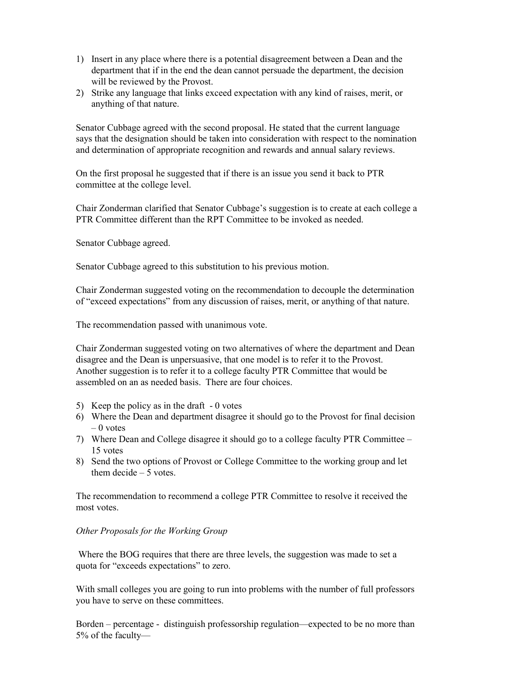- 1) Insert in any place where there is a potential disagreement between a Dean and the department that if in the end the dean cannot persuade the department, the decision will be reviewed by the Provost.
- 2) Strike any language that links exceed expectation with any kind of raises, merit, or anything of that nature.

Senator Cubbage agreed with the second proposal. He stated that the current language says that the designation should be taken into consideration with respect to the nomination and determination of appropriate recognition and rewards and annual salary reviews.

On the first proposal he suggested that if there is an issue you send it back to PTR committee at the college level.

Chair Zonderman clarified that Senator Cubbage's suggestion is to create at each college a PTR Committee different than the RPT Committee to be invoked as needed.

Senator Cubbage agreed.

Senator Cubbage agreed to this substitution to his previous motion.

Chair Zonderman suggested voting on the recommendation to decouple the determination of "exceed expectations" from any discussion of raises, merit, or anything of that nature.

The recommendation passed with unanimous vote.

Chair Zonderman suggested voting on two alternatives of where the department and Dean disagree and the Dean is unpersuasive, that one model is to refer it to the Provost. Another suggestion is to refer it to a college faculty PTR Committee that would be assembled on an as needed basis. There are four choices.

- 5) Keep the policy as in the draft 0 votes
- 6) Where the Dean and department disagree it should go to the Provost for final decision  $-0$  votes
- 7) Where Dean and College disagree it should go to a college faculty PTR Committee 15 votes
- 8) Send the two options of Provost or College Committee to the working group and let them decide – 5 votes.

The recommendation to recommend a college PTR Committee to resolve it received the most votes.

#### *Other Proposals for the Working Group*

Where the BOG requires that there are three levels, the suggestion was made to set a quota for "exceeds expectations" to zero.

With small colleges you are going to run into problems with the number of full professors you have to serve on these committees.

Borden – percentage - distinguish professorship regulation—expected to be no more than 5% of the faculty—